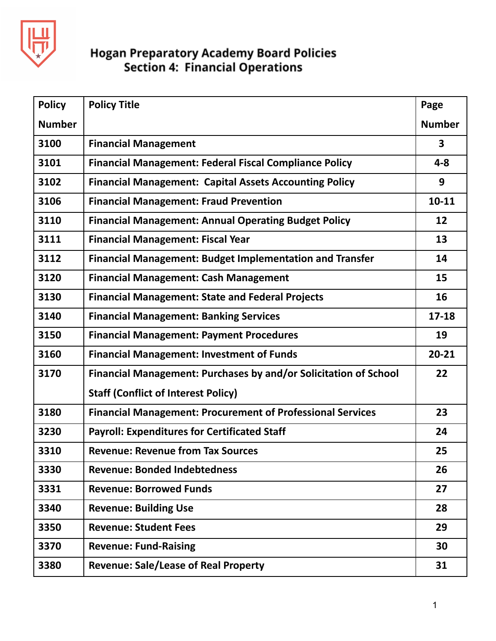

| <b>Policy</b> | <b>Policy Title</b>                                               | Page          |
|---------------|-------------------------------------------------------------------|---------------|
| <b>Number</b> |                                                                   | <b>Number</b> |
| 3100          | <b>Financial Management</b>                                       | 3             |
| 3101          | <b>Financial Management: Federal Fiscal Compliance Policy</b>     | $4 - 8$       |
| 3102          | <b>Financial Management: Capital Assets Accounting Policy</b>     | 9             |
| 3106          | <b>Financial Management: Fraud Prevention</b>                     | $10 - 11$     |
| 3110          | <b>Financial Management: Annual Operating Budget Policy</b>       | 12            |
| 3111          | <b>Financial Management: Fiscal Year</b>                          | 13            |
| 3112          | <b>Financial Management: Budget Implementation and Transfer</b>   | 14            |
| 3120          | <b>Financial Management: Cash Management</b>                      | 15            |
| 3130          | <b>Financial Management: State and Federal Projects</b>           | 16            |
| 3140          | <b>Financial Management: Banking Services</b>                     | $17 - 18$     |
| 3150          | <b>Financial Management: Payment Procedures</b>                   | 19            |
| 3160          | <b>Financial Management: Investment of Funds</b>                  | $20 - 21$     |
| 3170          | Financial Management: Purchases by and/or Solicitation of School  | 22            |
|               | <b>Staff (Conflict of Interest Policy)</b>                        |               |
| 3180          | <b>Financial Management: Procurement of Professional Services</b> | 23            |
| 3230          | <b>Payroll: Expenditures for Certificated Staff</b>               | 24            |
| 3310          | <b>Revenue: Revenue from Tax Sources</b>                          | 25            |
| 3330          | <b>Revenue: Bonded Indebtedness</b>                               | 26            |
| 3331          | <b>Revenue: Borrowed Funds</b>                                    | 27            |
| 3340          | <b>Revenue: Building Use</b>                                      | 28            |
| 3350          | <b>Revenue: Student Fees</b>                                      | 29            |
| 3370          | <b>Revenue: Fund-Raising</b>                                      | 30            |
| 3380          | <b>Revenue: Sale/Lease of Real Property</b>                       | 31            |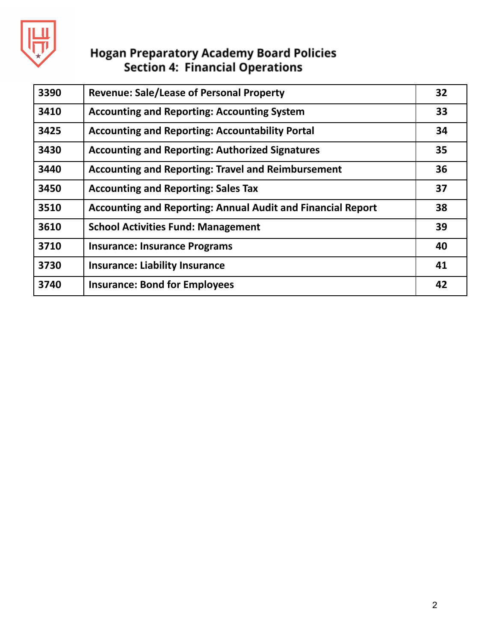

| 3390 | <b>Revenue: Sale/Lease of Personal Property</b>             | 32 |
|------|-------------------------------------------------------------|----|
| 3410 | <b>Accounting and Reporting: Accounting System</b>          | 33 |
| 3425 | <b>Accounting and Reporting: Accountability Portal</b>      | 34 |
| 3430 | <b>Accounting and Reporting: Authorized Signatures</b>      | 35 |
| 3440 | <b>Accounting and Reporting: Travel and Reimbursement</b>   | 36 |
| 3450 | <b>Accounting and Reporting: Sales Tax</b>                  | 37 |
| 3510 | Accounting and Reporting: Annual Audit and Financial Report | 38 |
| 3610 | <b>School Activities Fund: Management</b>                   | 39 |
| 3710 | <b>Insurance: Insurance Programs</b>                        | 40 |
| 3730 | <b>Insurance: Liability Insurance</b>                       | 41 |
| 3740 | <b>Insurance: Bond for Employees</b>                        | 42 |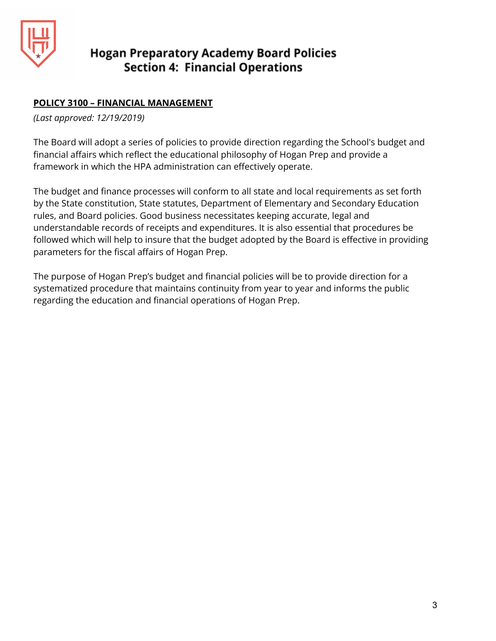

## **POLICY 3100 – FINANCIAL MANAGEMENT**

*(Last approved: 12/19/2019)*

The Board will adopt a series of policies to provide direction regarding the School's budget and financial affairs which reflect the educational philosophy of Hogan Prep and provide a framework in which the HPA administration can effectively operate.

The budget and finance processes will conform to all state and local requirements as set forth by the State constitution, State statutes, Department of Elementary and Secondary Education rules, and Board policies. Good business necessitates keeping accurate, legal and understandable records of receipts and expenditures. It is also essential that procedures be followed which will help to insure that the budget adopted by the Board is effective in providing parameters for the fiscal affairs of Hogan Prep.

The purpose of Hogan Prep's budget and financial policies will be to provide direction for a systematized procedure that maintains continuity from year to year and informs the public regarding the education and financial operations of Hogan Prep.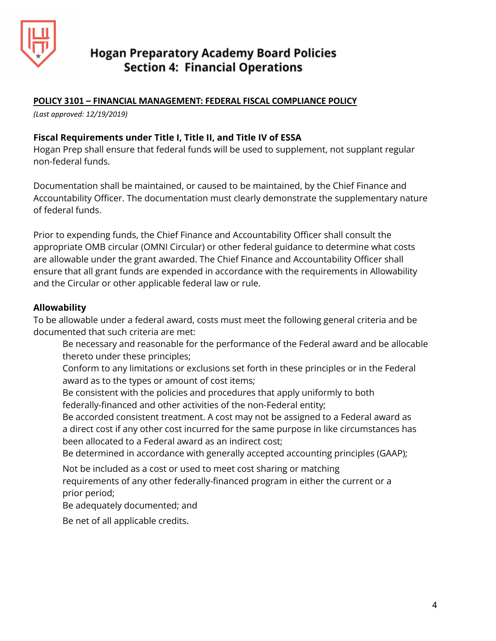

#### **POLICY 3101 – FINANCIAL MANAGEMENT: FEDERAL FISCAL COMPLIANCE POLICY**

*(Last approved: 12/19/2019)*

#### **Fiscal Requirements under Title I, Title II, and Title IV of ESSA**

Hogan Prep shall ensure that federal funds will be used to supplement, not supplant regular non-federal funds.

Documentation shall be maintained, or caused to be maintained, by the Chief Finance and Accountability Officer. The documentation must clearly demonstrate the supplementary nature of federal funds.

Prior to expending funds, the Chief Finance and Accountability Officer shall consult the appropriate OMB circular (OMNI Circular) or other federal guidance to determine what costs are allowable under the grant awarded. The Chief Finance and Accountability Officer shall ensure that all grant funds are expended in accordance with the requirements in Allowability and the Circular or other applicable federal law or rule.

#### **Allowability**

To be allowable under a federal award, costs must meet the following general criteria and be documented that such criteria are met:

- Be necessary and reasonable for the performance of the Federal award and be allocable thereto under these principles;
- Conform to any limitations or exclusions set forth in these principles or in the Federal award as to the types or amount of cost items;
- Be consistent with the policies and procedures that apply uniformly to both federally-financed and other activities of the non-Federal entity;
- Be accorded consistent treatment. A cost may not be assigned to a Federal award as a direct cost if any other cost incurred for the same purpose in like circumstances has been allocated to a Federal award as an indirect cost;

Be determined in accordance with generally accepted accounting principles (GAAP);

Not be included as a cost or used to meet cost sharing or matching requirements of any other federally-financed program in either the current or a prior period;

Be adequately documented; and

Be net of all applicable credits.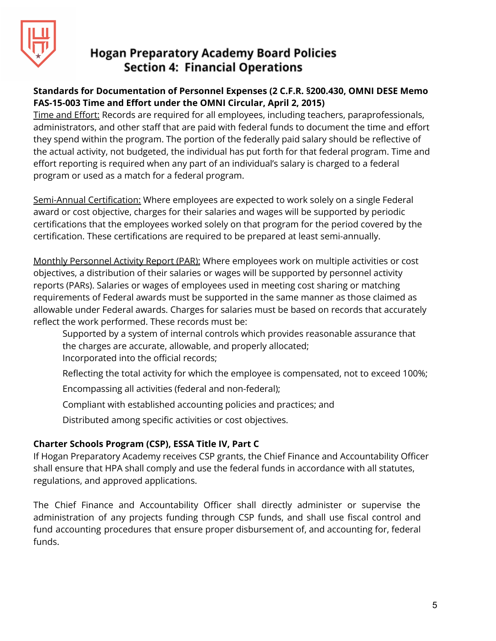

## **Standards for Documentation of Personnel Expenses (2 C.F.R. §200.430, OMNI DESE Memo FAS-15-003 Time and Effort under the OMNI Circular, April 2, 2015)**

Time and Effort: Records are required for all employees, including teachers, paraprofessionals, administrators, and other staff that are paid with federal funds to document the time and effort they spend within the program. The portion of the federally paid salary should be reflective of the actual activity, not budgeted, the individual has put forth for that federal program. Time and effort reporting is required when any part of an individual's salary is charged to a federal program or used as a match for a federal program.

Semi-Annual Certification: Where employees are expected to work solely on a single Federal award or cost objective, charges for their salaries and wages will be supported by periodic certifications that the employees worked solely on that program for the period covered by the certification. These certifications are required to be prepared at least semi-annually.

Monthly Personnel Activity Report (PAR): Where employees work on multiple activities or cost objectives, a distribution of their salaries or wages will be supported by personnel activity reports (PARs). Salaries or wages of employees used in meeting cost sharing or matching requirements of Federal awards must be supported in the same manner as those claimed as allowable under Federal awards. Charges for salaries must be based on records that accurately reflect the work performed. These records must be:

Supported by a system of internal controls which provides reasonable assurance that the charges are accurate, allowable, and properly allocated; Incorporated into the official records;

Reflecting the total activity for which the employee is compensated, not to exceed 100%;

Encompassing all activities (federal and non-federal);

Compliant with established accounting policies and practices; and

Distributed among specific activities or cost objectives.

## **Charter Schools Program (CSP), ESSA Title IV, Part C**

If Hogan Preparatory Academy receives CSP grants, the Chief Finance and Accountability Officer shall ensure that HPA shall comply and use the federal funds in accordance with all statutes, regulations, and approved applications.

The Chief Finance and Accountability Officer shall directly administer or supervise the administration of any projects funding through CSP funds, and shall use fiscal control and fund accounting procedures that ensure proper disbursement of, and accounting for, federal funds.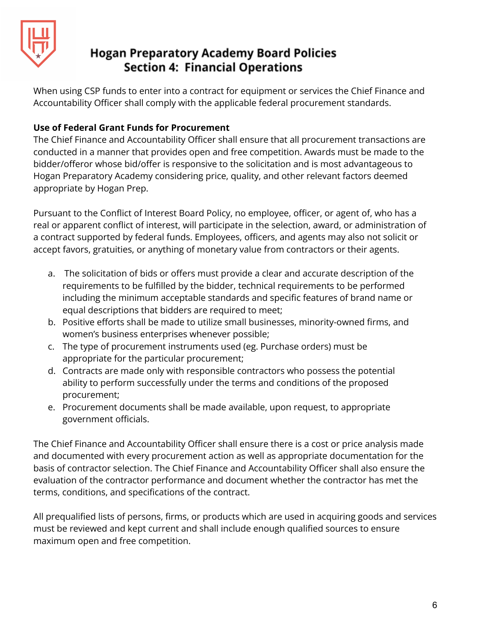

When using CSP funds to enter into a contract for equipment or services the Chief Finance and Accountability Officer shall comply with the applicable federal procurement standards.

## **Use of Federal Grant Funds for Procurement**

The Chief Finance and Accountability Officer shall ensure that all procurement transactions are conducted in a manner that provides open and free competition. Awards must be made to the bidder/offeror whose bid/offer is responsive to the solicitation and is most advantageous to Hogan Preparatory Academy considering price, quality, and other relevant factors deemed appropriate by Hogan Prep.

Pursuant to the Conflict of Interest Board Policy, no employee, officer, or agent of, who has a real or apparent conflict of interest, will participate in the selection, award, or administration of a contract supported by federal funds. Employees, officers, and agents may also not solicit or accept favors, gratuities, or anything of monetary value from contractors or their agents.

- a. The solicitation of bids or offers must provide a clear and accurate description of the requirements to be fulfilled by the bidder, technical requirements to be performed including the minimum acceptable standards and specific features of brand name or equal descriptions that bidders are required to meet;
- b. Positive efforts shall be made to utilize small businesses, minority-owned firms, and women's business enterprises whenever possible;
- c. The type of procurement instruments used (eg. Purchase orders) must be appropriate for the particular procurement;
- d. Contracts are made only with responsible contractors who possess the potential ability to perform successfully under the terms and conditions of the proposed procurement;
- e. Procurement documents shall be made available, upon request, to appropriate government officials.

The Chief Finance and Accountability Officer shall ensure there is a cost or price analysis made and documented with every procurement action as well as appropriate documentation for the basis of contractor selection. The Chief Finance and Accountability Officer shall also ensure the evaluation of the contractor performance and document whether the contractor has met the terms, conditions, and specifications of the contract.

All prequalified lists of persons, firms, or products which are used in acquiring goods and services must be reviewed and kept current and shall include enough qualified sources to ensure maximum open and free competition.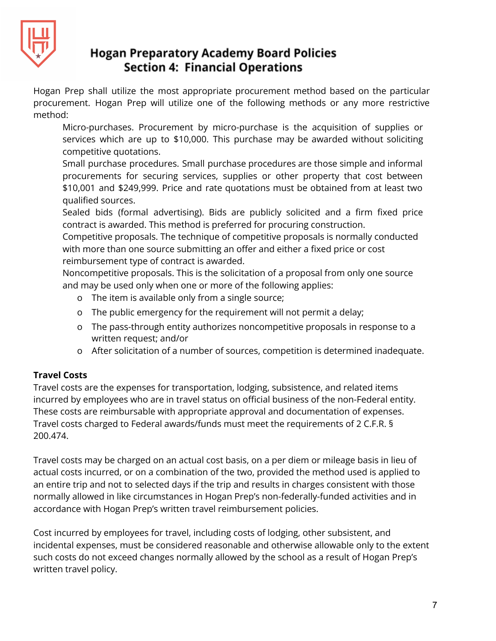

Hogan Prep shall utilize the most appropriate procurement method based on the particular procurement. Hogan Prep will utilize one of the following methods or any more restrictive method:

Micro-purchases. Procurement by micro-purchase is the acquisition of supplies or services which are up to \$10,000. This purchase may be awarded without soliciting competitive quotations.

Small purchase procedures. Small purchase procedures are those simple and informal procurements for securing services, supplies or other property that cost between \$10,001 and \$249,999. Price and rate quotations must be obtained from at least two qualified sources.

Sealed bids (formal advertising). Bids are publicly solicited and a firm fixed price contract is awarded. This method is preferred for procuring construction.

Competitive proposals. The technique of competitive proposals is normally conducted with more than one source submitting an offer and either a fixed price or cost reimbursement type of contract is awarded.

Noncompetitive proposals. This is the solicitation of a proposal from only one source and may be used only when one or more of the following applies:

- o The item is available only from a single source;
- o The public emergency for the requirement will not permit a delay;
- o The pass-through entity authorizes noncompetitive proposals in response to a written request; and/or
- o After solicitation of a number of sources, competition is determined inadequate.

## **Travel Costs**

Travel costs are the expenses for transportation, lodging, subsistence, and related items incurred by employees who are in travel status on official business of the non-Federal entity. These costs are reimbursable with appropriate approval and documentation of expenses. Travel costs charged to Federal awards/funds must meet the requirements of 2 C.F.R. § 200.474.

Travel costs may be charged on an actual cost basis, on a per diem or mileage basis in lieu of actual costs incurred, or on a combination of the two, provided the method used is applied to an entire trip and not to selected days if the trip and results in charges consistent with those normally allowed in like circumstances in Hogan Prep's non-federally-funded activities and in accordance with Hogan Prep's written travel reimbursement policies.

Cost incurred by employees for travel, including costs of lodging, other subsistent, and incidental expenses, must be considered reasonable and otherwise allowable only to the extent such costs do not exceed changes normally allowed by the school as a result of Hogan Prep's written travel policy.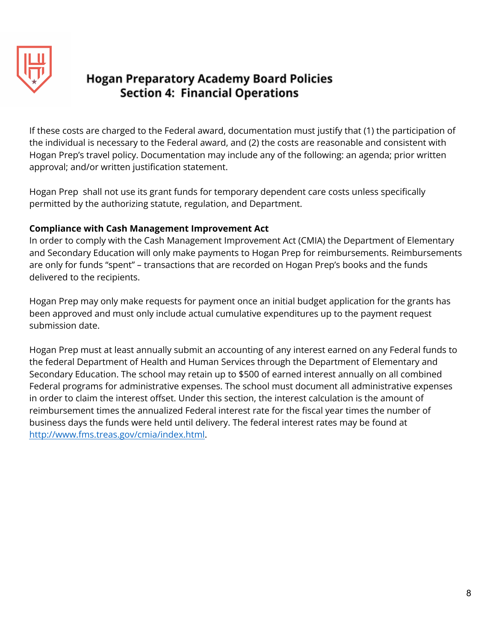

If these costs are charged to the Federal award, documentation must justify that (1) the participation of the individual is necessary to the Federal award, and (2) the costs are reasonable and consistent with Hogan Prep's travel policy. Documentation may include any of the following: an agenda; prior written approval; and/or written justification statement.

Hogan Prep shall not use its grant funds for temporary dependent care costs unless specifically permitted by the authorizing statute, regulation, and Department.

#### **Compliance with Cash Management Improvement Act**

In order to comply with the Cash Management Improvement Act (CMIA) the Department of Elementary and Secondary Education will only make payments to Hogan Prep for reimbursements. Reimbursements are only for funds "spent" – transactions that are recorded on Hogan Prep's books and the funds delivered to the recipients.

Hogan Prep may only make requests for payment once an initial budget application for the grants has been approved and must only include actual cumulative expenditures up to the payment request submission date.

Hogan Prep must at least annually submit an accounting of any interest earned on any Federal funds to the federal Department of Health and Human Services through the Department of Elementary and Secondary Education. The school may retain up to \$500 of earned interest annually on all combined Federal programs for administrative expenses. The school must document all administrative expenses in order to claim the interest offset. Under this section, the interest calculation is the amount of reimbursement times the annualized Federal interest rate for the fiscal year times the number of business days the funds were held until delivery. The federal interest rates may be found at [http://www.fms.treas.gov/cmia/index.html.](http://www.fms.treas.gov/cmia/index.html)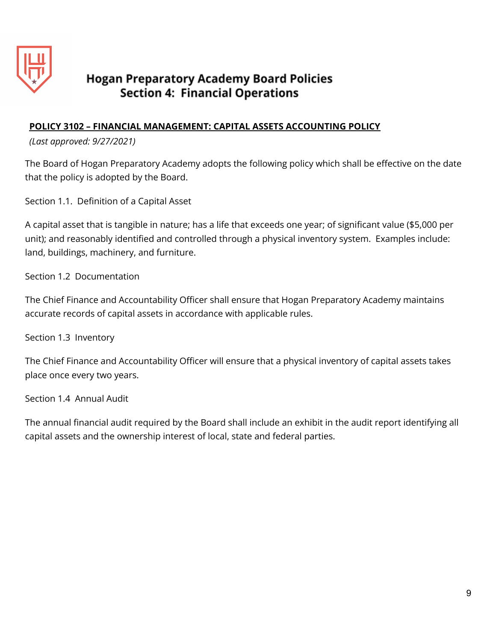

## **POLICY 3102 – FINANCIAL MANAGEMENT: CAPITAL ASSETS ACCOUNTING POLICY**

*(Last approved: 9/27/2021)*

The Board of Hogan Preparatory Academy adopts the following policy which shall be effective on the date that the policy is adopted by the Board.

Section 1.1. Definition of a Capital Asset

A capital asset that is tangible in nature; has a life that exceeds one year; of significant value (\$5,000 per unit); and reasonably identified and controlled through a physical inventory system. Examples include: land, buildings, machinery, and furniture.

Section 1.2 Documentation

The Chief Finance and Accountability Officer shall ensure that Hogan Preparatory Academy maintains accurate records of capital assets in accordance with applicable rules.

Section 1.3 Inventory

The Chief Finance and Accountability Officer will ensure that a physical inventory of capital assets takes place once every two years.

Section 1.4 Annual Audit

The annual financial audit required by the Board shall include an exhibit in the audit report identifying all capital assets and the ownership interest of local, state and federal parties.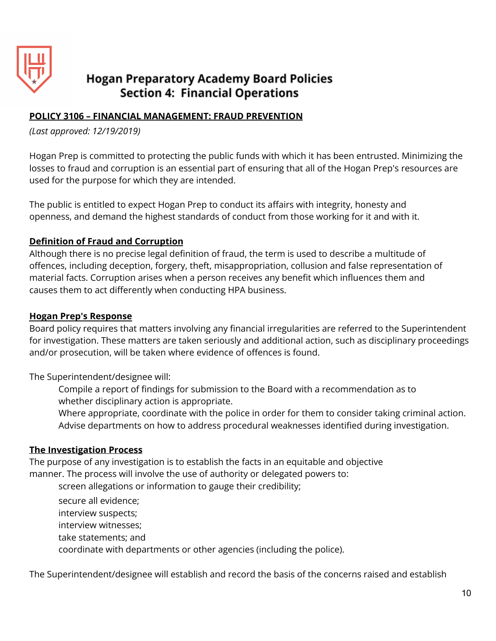

## **POLICY 3106 – FINANCIAL MANAGEMENT: FRAUD PREVENTION**

*(Last approved: 12/19/2019)*

Hogan Prep is committed to protecting the public funds with which it has been entrusted. Minimizing the losses to fraud and corruption is an essential part of ensuring that all of the Hogan Prep's resources are used for the purpose for which they are intended.

The public is entitled to expect Hogan Prep to conduct its affairs with integrity, honesty and openness, and demand the highest standards of conduct from those working for it and with it.

#### **Definition of Fraud and Corruption**

Although there is no precise legal definition of fraud, the term is used to describe a multitude of offences, including deception, forgery, theft, misappropriation, collusion and false representation of material facts. Corruption arises when a person receives any benefit which influences them and causes them to act differently when conducting HPA business.

#### **Hogan Prep's Response**

Board policy requires that matters involving any financial irregularities are referred to the Superintendent for investigation. These matters are taken seriously and additional action, such as disciplinary proceedings and/or prosecution, will be taken where evidence of offences is found.

The Superintendent/designee will:

Compile a report of findings for submission to the Board with a recommendation as to whether disciplinary action is appropriate.

Where appropriate, coordinate with the police in order for them to consider taking criminal action. Advise departments on how to address procedural weaknesses identified during investigation.

#### **The Investigation Process**

The purpose of any investigation is to establish the facts in an equitable and objective manner. The process will involve the use of authority or delegated powers to:

screen allegations or information to gauge their credibility;

secure all evidence; interview suspects; interview witnesses; take statements; and coordinate with departments or other agencies (including the police).

The Superintendent/designee will establish and record the basis of the concerns raised and establish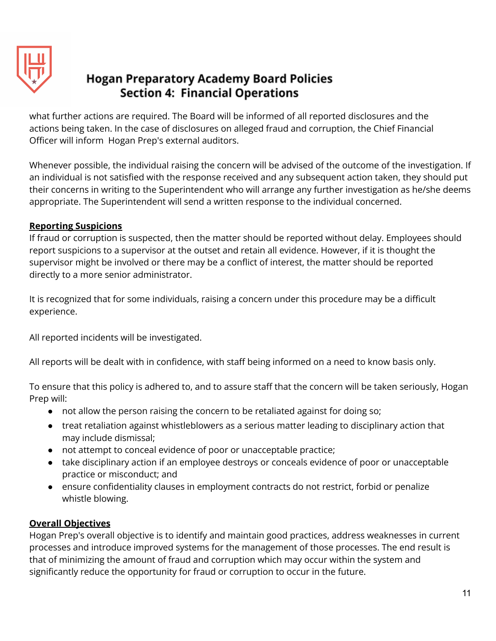

what further actions are required. The Board will be informed of all reported disclosures and the actions being taken. In the case of disclosures on alleged fraud and corruption, the Chief Financial Officer will inform Hogan Prep's external auditors.

Whenever possible, the individual raising the concern will be advised of the outcome of the investigation. If an individual is not satisfied with the response received and any subsequent action taken, they should put their concerns in writing to the Superintendent who will arrange any further investigation as he/she deems appropriate. The Superintendent will send a written response to the individual concerned.

## **Reporting Suspicions**

If fraud or corruption is suspected, then the matter should be reported without delay. Employees should report suspicions to a supervisor at the outset and retain all evidence. However, if it is thought the supervisor might be involved or there may be a conflict of interest, the matter should be reported directly to a more senior administrator.

It is recognized that for some individuals, raising a concern under this procedure may be a difficult experience.

All reported incidents will be investigated.

All reports will be dealt with in confidence, with staff being informed on a need to know basis only.

To ensure that this policy is adhered to, and to assure staff that the concern will be taken seriously, Hogan Prep will:

- not allow the person raising the concern to be retaliated against for doing so;
- treat retaliation against whistleblowers as a serious matter leading to disciplinary action that may include dismissal;
- not attempt to conceal evidence of poor or unacceptable practice;
- take disciplinary action if an employee destroys or conceals evidence of poor or unacceptable practice or misconduct; and
- ensure confidentiality clauses in employment contracts do not restrict, forbid or penalize whistle blowing.

## **Overall Objectives**

Hogan Prep's overall objective is to identify and maintain good practices, address weaknesses in current processes and introduce improved systems for the management of those processes. The end result is that of minimizing the amount of fraud and corruption which may occur within the system and significantly reduce the opportunity for fraud or corruption to occur in the future.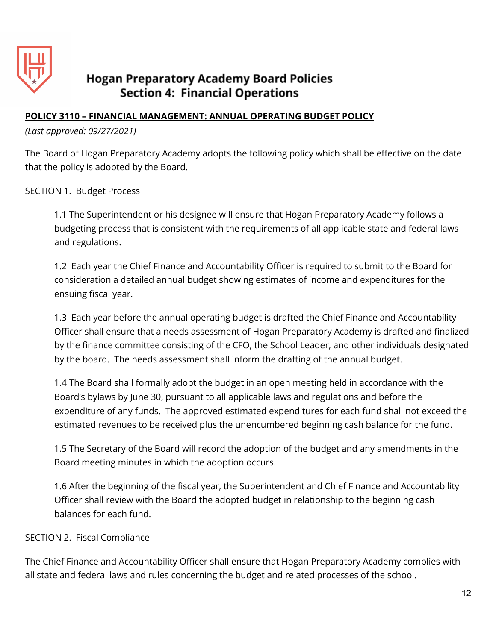

### **POLICY 3110 – FINANCIAL MANAGEMENT: ANNUAL OPERATING BUDGET POLICY**

*(Last approved: 09/27/2021)*

The Board of Hogan Preparatory Academy adopts the following policy which shall be effective on the date that the policy is adopted by the Board.

SECTION 1. Budget Process

1.1 The Superintendent or his designee will ensure that Hogan Preparatory Academy follows a budgeting process that is consistent with the requirements of all applicable state and federal laws and regulations.

1.2 Each year the Chief Finance and Accountability Officer is required to submit to the Board for consideration a detailed annual budget showing estimates of income and expenditures for the ensuing fiscal year.

1.3 Each year before the annual operating budget is drafted the Chief Finance and Accountability Officer shall ensure that a needs assessment of Hogan Preparatory Academy is drafted and finalized by the finance committee consisting of the CFO, the School Leader, and other individuals designated by the board. The needs assessment shall inform the drafting of the annual budget.

1.4 The Board shall formally adopt the budget in an open meeting held in accordance with the Board's bylaws by June 30, pursuant to all applicable laws and regulations and before the expenditure of any funds. The approved estimated expenditures for each fund shall not exceed the estimated revenues to be received plus the unencumbered beginning cash balance for the fund.

1.5 The Secretary of the Board will record the adoption of the budget and any amendments in the Board meeting minutes in which the adoption occurs.

1.6 After the beginning of the fiscal year, the Superintendent and Chief Finance and Accountability Officer shall review with the Board the adopted budget in relationship to the beginning cash balances for each fund.

#### SECTION 2. Fiscal Compliance

The Chief Finance and Accountability Officer shall ensure that Hogan Preparatory Academy complies with all state and federal laws and rules concerning the budget and related processes of the school.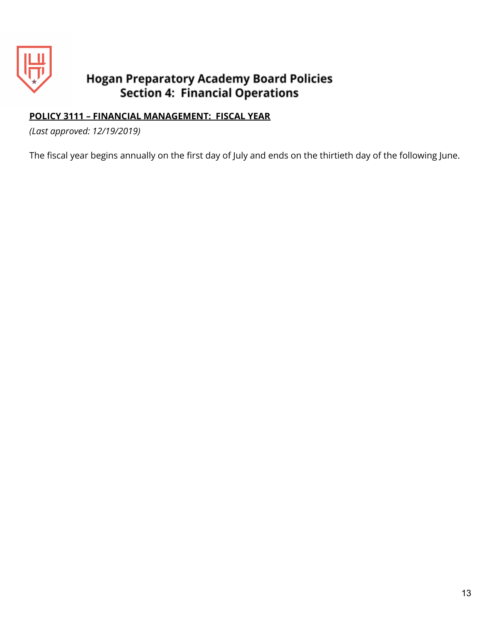

## **POLICY 3111 – FINANCIAL MANAGEMENT: FISCAL YEAR**

*(Last approved: 12/19/2019)*

The fiscal year begins annually on the first day of July and ends on the thirtieth day of the following June.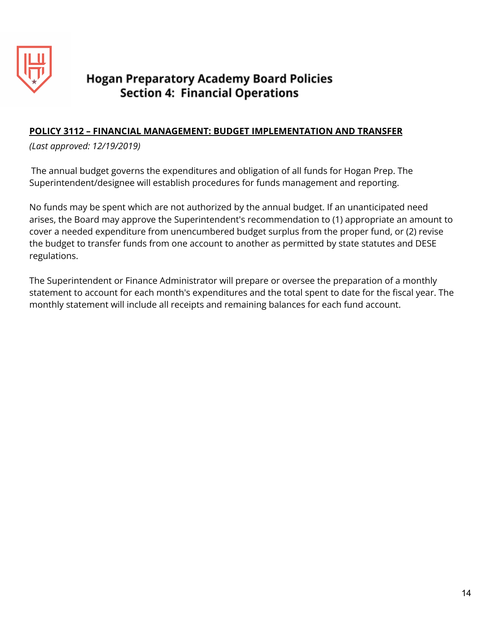

## **POLICY 3112 – FINANCIAL MANAGEMENT: BUDGET IMPLEMENTATION AND TRANSFER**

*(Last approved: 12/19/2019)*

The annual budget governs the expenditures and obligation of all funds for Hogan Prep. The Superintendent/designee will establish procedures for funds management and reporting.

No funds may be spent which are not authorized by the annual budget. If an unanticipated need arises, the Board may approve the Superintendent's recommendation to (1) appropriate an amount to cover a needed expenditure from unencumbered budget surplus from the proper fund, or (2) revise the budget to transfer funds from one account to another as permitted by state statutes and DESE regulations.

The Superintendent or Finance Administrator will prepare or oversee the preparation of a monthly statement to account for each month's expenditures and the total spent to date for the fiscal year. The monthly statement will include all receipts and remaining balances for each fund account.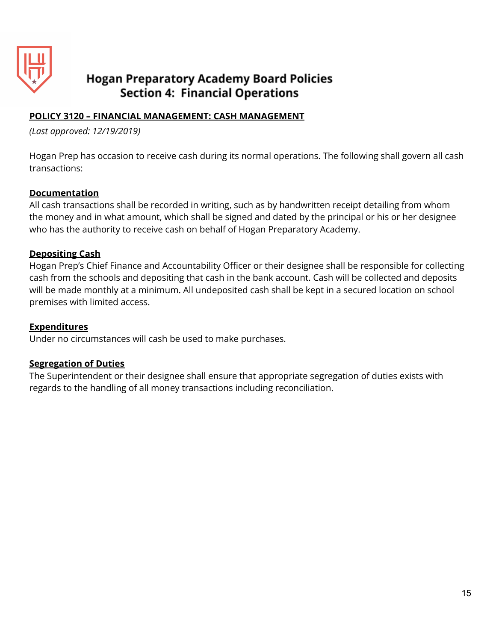

## **POLICY 3120 – FINANCIAL MANAGEMENT: CASH MANAGEMENT**

*(Last approved: 12/19/2019)*

Hogan Prep has occasion to receive cash during its normal operations. The following shall govern all cash transactions:

#### **Documentation**

All cash transactions shall be recorded in writing, such as by handwritten receipt detailing from whom the money and in what amount, which shall be signed and dated by the principal or his or her designee who has the authority to receive cash on behalf of Hogan Preparatory Academy.

#### **Depositing Cash**

Hogan Prep's Chief Finance and Accountability Officer or their designee shall be responsible for collecting cash from the schools and depositing that cash in the bank account. Cash will be collected and deposits will be made monthly at a minimum. All undeposited cash shall be kept in a secured location on school premises with limited access.

#### **Expenditures**

Under no circumstances will cash be used to make purchases.

#### **Segregation of Duties**

The Superintendent or their designee shall ensure that appropriate segregation of duties exists with regards to the handling of all money transactions including reconciliation.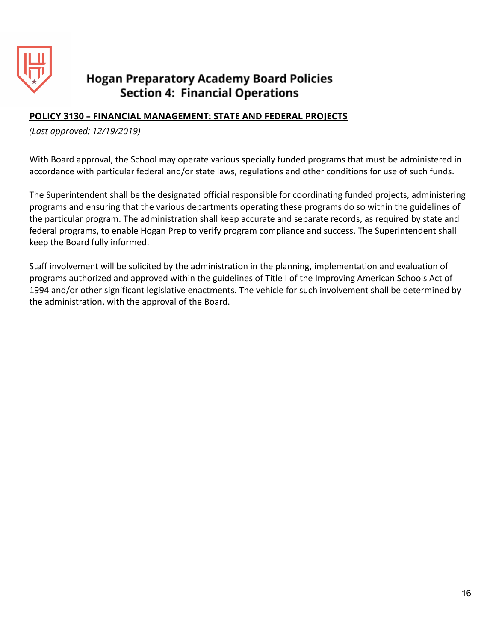

#### **POLICY 3130 – FINANCIAL MANAGEMENT: STATE AND FEDERAL PROJECTS**

*(Last approved: 12/19/2019)*

With Board approval, the School may operate various specially funded programs that must be administered in accordance with particular federal and/or state laws, regulations and other conditions for use of such funds.

The Superintendent shall be the designated official responsible for coordinating funded projects, administering programs and ensuring that the various departments operating these programs do so within the guidelines of the particular program. The administration shall keep accurate and separate records, as required by state and federal programs, to enable Hogan Prep to verify program compliance and success. The Superintendent shall keep the Board fully informed.

Staff involvement will be solicited by the administration in the planning, implementation and evaluation of programs authorized and approved within the guidelines of Title I of the Improving American Schools Act of 1994 and/or other significant legislative enactments. The vehicle for such involvement shall be determined by the administration, with the approval of the Board.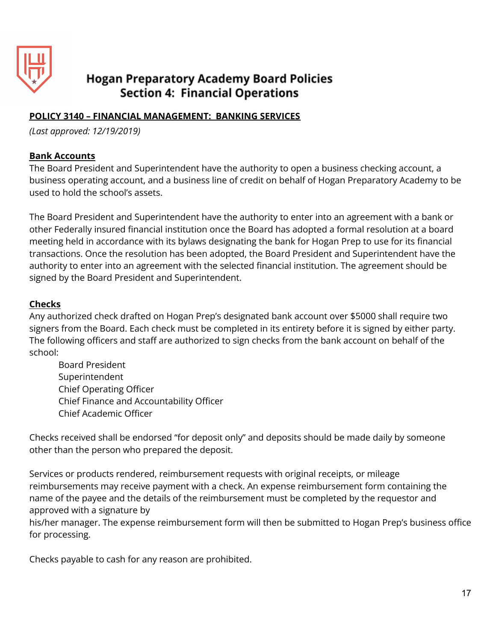

## **POLICY 3140 – FINANCIAL MANAGEMENT: BANKING SERVICES**

*(Last approved: 12/19/2019)*

#### **Bank Accounts**

The Board President and Superintendent have the authority to open a business checking account, a business operating account, and a business line of credit on behalf of Hogan Preparatory Academy to be used to hold the school's assets.

The Board President and Superintendent have the authority to enter into an agreement with a bank or other Federally insured financial institution once the Board has adopted a formal resolution at a board meeting held in accordance with its bylaws designating the bank for Hogan Prep to use for its financial transactions. Once the resolution has been adopted, the Board President and Superintendent have the authority to enter into an agreement with the selected financial institution. The agreement should be signed by the Board President and Superintendent.

#### **Checks**

Any authorized check drafted on Hogan Prep's designated bank account over \$5000 shall require two signers from the Board. Each check must be completed in its entirety before it is signed by either party. The following officers and staff are authorized to sign checks from the bank account on behalf of the school:

Board President Superintendent Chief Operating Officer Chief Finance and Accountability Officer Chief Academic Officer

Checks received shall be endorsed "for deposit only" and deposits should be made daily by someone other than the person who prepared the deposit.

Services or products rendered, reimbursement requests with original receipts, or mileage reimbursements may receive payment with a check. An expense reimbursement form containing the name of the payee and the details of the reimbursement must be completed by the requestor and approved with a signature by

his/her manager. The expense reimbursement form will then be submitted to Hogan Prep's business office for processing.

Checks payable to cash for any reason are prohibited.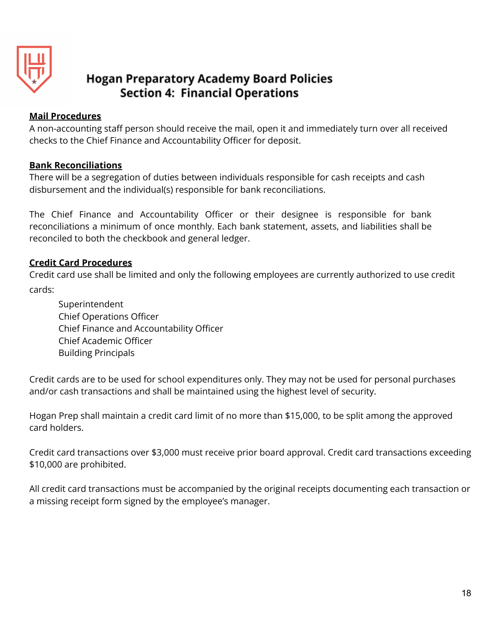

### **Mail Procedures**

A non-accounting staff person should receive the mail, open it and immediately turn over all received checks to the Chief Finance and Accountability Officer for deposit.

## **Bank Reconciliations**

There will be a segregation of duties between individuals responsible for cash receipts and cash disbursement and the individual(s) responsible for bank reconciliations.

The Chief Finance and Accountability Officer or their designee is responsible for bank reconciliations a minimum of once monthly. Each bank statement, assets, and liabilities shall be reconciled to both the checkbook and general ledger.

## **Credit Card Procedures**

Credit card use shall be limited and only the following employees are currently authorized to use credit cards:

Superintendent Chief Operations Officer Chief Finance and Accountability Officer Chief Academic Officer Building Principals

Credit cards are to be used for school expenditures only. They may not be used for personal purchases and/or cash transactions and shall be maintained using the highest level of security.

Hogan Prep shall maintain a credit card limit of no more than \$15,000, to be split among the approved card holders.

Credit card transactions over \$3,000 must receive prior board approval. Credit card transactions exceeding \$10,000 are prohibited.

All credit card transactions must be accompanied by the original receipts documenting each transaction or a missing receipt form signed by the employee's manager.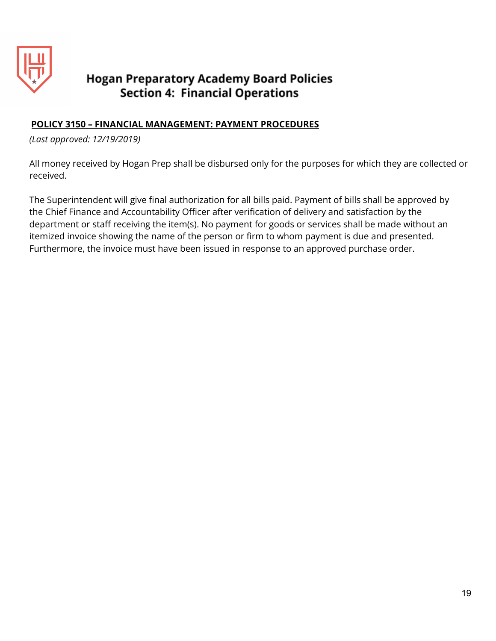

### **POLICY 3150 – FINANCIAL MANAGEMENT: PAYMENT PROCEDURES**

*(Last approved: 12/19/2019)*

All money received by Hogan Prep shall be disbursed only for the purposes for which they are collected or received.

The Superintendent will give final authorization for all bills paid. Payment of bills shall be approved by the Chief Finance and Accountability Officer after verification of delivery and satisfaction by the department or staff receiving the item(s). No payment for goods or services shall be made without an itemized invoice showing the name of the person or firm to whom payment is due and presented. Furthermore, the invoice must have been issued in response to an approved purchase order.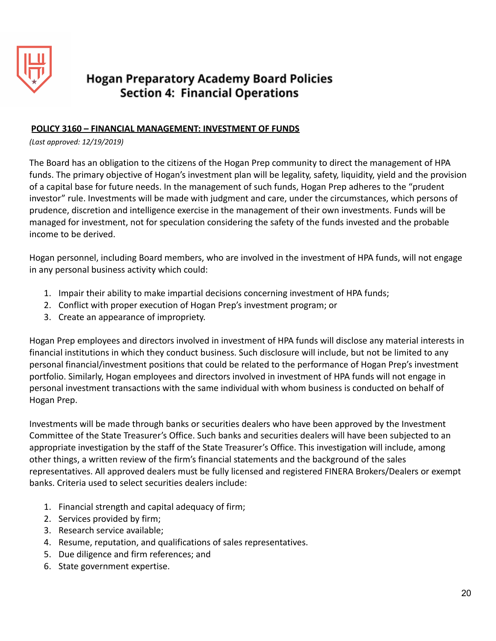

#### **POLICY 3160 – FINANCIAL MANAGEMENT: INVESTMENT OF FUNDS**

*(Last approved: 12/19/2019)*

The Board has an obligation to the citizens of the Hogan Prep community to direct the management of HPA funds. The primary objective of Hogan's investment plan will be legality, safety, liquidity, yield and the provision of a capital base for future needs. In the management of such funds, Hogan Prep adheres to the "prudent investor" rule. Investments will be made with judgment and care, under the circumstances, which persons of prudence, discretion and intelligence exercise in the management of their own investments. Funds will be managed for investment, not for speculation considering the safety of the funds invested and the probable income to be derived.

Hogan personnel, including Board members, who are involved in the investment of HPA funds, will not engage in any personal business activity which could:

- 1. Impair their ability to make impartial decisions concerning investment of HPA funds;
- 2. Conflict with proper execution of Hogan Prep's investment program; or
- 3. Create an appearance of impropriety.

Hogan Prep employees and directors involved in investment of HPA funds will disclose any material interests in financial institutions in which they conduct business. Such disclosure will include, but not be limited to any personal financial/investment positions that could be related to the performance of Hogan Prep's investment portfolio. Similarly, Hogan employees and directors involved in investment of HPA funds will not engage in personal investment transactions with the same individual with whom business is conducted on behalf of Hogan Prep.

Investments will be made through banks or securities dealers who have been approved by the Investment Committee of the State Treasurer's Office. Such banks and securities dealers will have been subjected to an appropriate investigation by the staff of the State Treasurer's Office. This investigation will include, among other things, a written review of the firm's financial statements and the background of the sales representatives. All approved dealers must be fully licensed and registered FINERA Brokers/Dealers or exempt banks. Criteria used to select securities dealers include:

- 1. Financial strength and capital adequacy of firm;
- 2. Services provided by firm;
- 3. Research service available;
- 4. Resume, reputation, and qualifications of sales representatives.
- 5. Due diligence and firm references; and
- 6. State government expertise.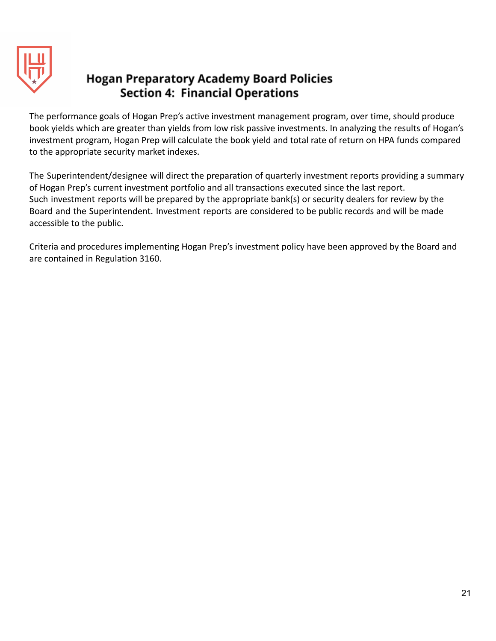

The performance goals of Hogan Prep's active investment management program, over time, should produce book yields which are greater than yields from low risk passive investments. In analyzing the results of Hogan's investment program, Hogan Prep will calculate the book yield and total rate of return on HPA funds compared to the appropriate security market indexes.

The Superintendent/designee will direct the preparation of quarterly investment reports providing a summary of Hogan Prep's current investment portfolio and all transactions executed since the last report. Such investment reports will be prepared by the appropriate bank(s) or security dealers for review by the Board and the Superintendent. Investment reports are considered to be public records and will be made accessible to the public.

Criteria and procedures implementing Hogan Prep's investment policy have been approved by the Board and are contained in Regulation 3160.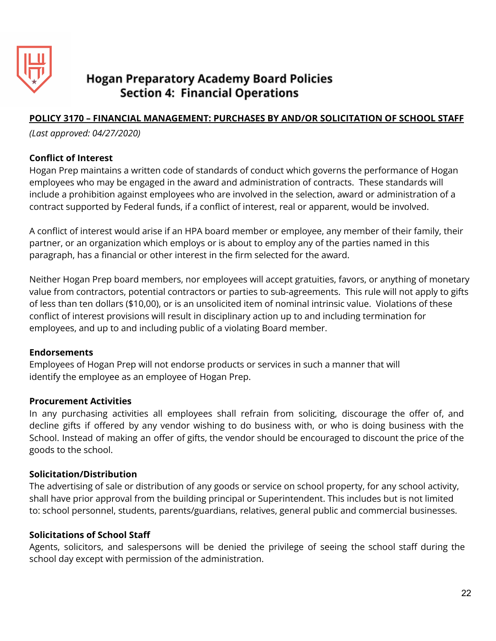

## **POLICY 3170 – FINANCIAL MANAGEMENT: PURCHASES BY AND/OR SOLICITATION OF SCHOOL STAFF**

*(Last approved: 04/27/2020)*

#### **Conflict of Interest**

Hogan Prep maintains a written code of standards of conduct which governs the performance of Hogan employees who may be engaged in the award and administration of contracts. These standards will include a prohibition against employees who are involved in the selection, award or administration of a contract supported by Federal funds, if a conflict of interest, real or apparent, would be involved.

A conflict of interest would arise if an HPA board member or employee, any member of their family, their partner, or an organization which employs or is about to employ any of the parties named in this paragraph, has a financial or other interest in the firm selected for the award.

Neither Hogan Prep board members, nor employees will accept gratuities, favors, or anything of monetary value from contractors, potential contractors or parties to sub-agreements. This rule will not apply to gifts of less than ten dollars (\$10,00), or is an unsolicited item of nominal intrinsic value. Violations of these conflict of interest provisions will result in disciplinary action up to and including termination for employees, and up to and including public of a violating Board member.

#### **Endorsements**

Employees of Hogan Prep will not endorse products or services in such a manner that will identify the employee as an employee of Hogan Prep.

#### **Procurement Activities**

In any purchasing activities all employees shall refrain from soliciting, discourage the offer of, and decline gifts if offered by any vendor wishing to do business with, or who is doing business with the School. Instead of making an offer of gifts, the vendor should be encouraged to discount the price of the goods to the school.

#### **Solicitation/Distribution**

The advertising of sale or distribution of any goods or service on school property, for any school activity, shall have prior approval from the building principal or Superintendent. This includes but is not limited to: school personnel, students, parents/guardians, relatives, general public and commercial businesses.

#### **Solicitations of School Staff**

Agents, solicitors, and salespersons will be denied the privilege of seeing the school staff during the school day except with permission of the administration.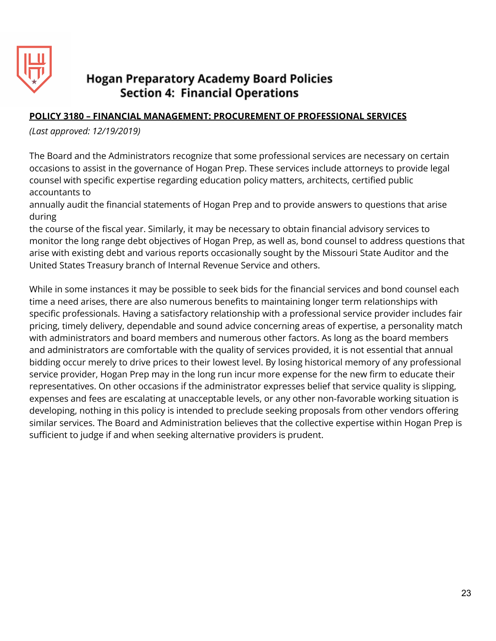

## **POLICY 3180 – FINANCIAL MANAGEMENT: PROCUREMENT OF PROFESSIONAL SERVICES**

*(Last approved: 12/19/2019)*

The Board and the Administrators recognize that some professional services are necessary on certain occasions to assist in the governance of Hogan Prep. These services include attorneys to provide legal counsel with specific expertise regarding education policy matters, architects, certified public accountants to

annually audit the financial statements of Hogan Prep and to provide answers to questions that arise during

the course of the fiscal year. Similarly, it may be necessary to obtain financial advisory services to monitor the long range debt objectives of Hogan Prep, as well as, bond counsel to address questions that arise with existing debt and various reports occasionally sought by the Missouri State Auditor and the United States Treasury branch of Internal Revenue Service and others.

While in some instances it may be possible to seek bids for the financial services and bond counsel each time a need arises, there are also numerous benefits to maintaining longer term relationships with specific professionals. Having a satisfactory relationship with a professional service provider includes fair pricing, timely delivery, dependable and sound advice concerning areas of expertise, a personality match with administrators and board members and numerous other factors. As long as the board members and administrators are comfortable with the quality of services provided, it is not essential that annual bidding occur merely to drive prices to their lowest level. By losing historical memory of any professional service provider, Hogan Prep may in the long run incur more expense for the new firm to educate their representatives. On other occasions if the administrator expresses belief that service quality is slipping, expenses and fees are escalating at unacceptable levels, or any other non-favorable working situation is developing, nothing in this policy is intended to preclude seeking proposals from other vendors offering similar services. The Board and Administration believes that the collective expertise within Hogan Prep is sufficient to judge if and when seeking alternative providers is prudent.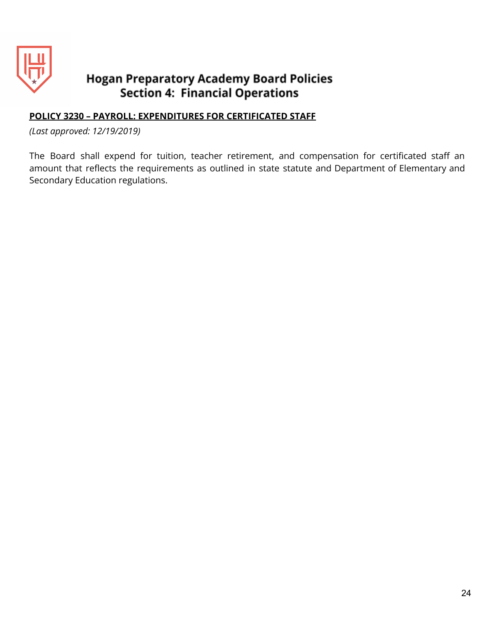

### **POLICY 3230 – PAYROLL: EXPENDITURES FOR CERTIFICATED STAFF**

*(Last approved: 12/19/2019)*

The Board shall expend for tuition, teacher retirement, and compensation for certificated staff an amount that reflects the requirements as outlined in state statute and Department of Elementary and Secondary Education regulations.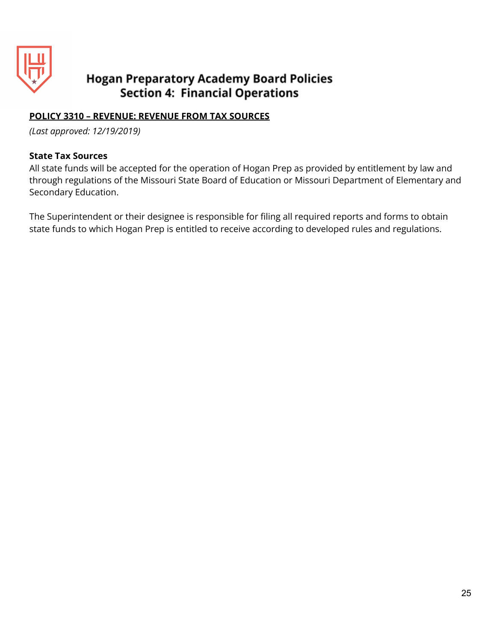

## **POLICY 3310 – REVENUE: REVENUE FROM TAX SOURCES**

*(Last approved: 12/19/2019)*

#### **State Tax Sources**

All state funds will be accepted for the operation of Hogan Prep as provided by entitlement by law and through regulations of the Missouri State Board of Education or Missouri Department of Elementary and Secondary Education.

The Superintendent or their designee is responsible for filing all required reports and forms to obtain state funds to which Hogan Prep is entitled to receive according to developed rules and regulations.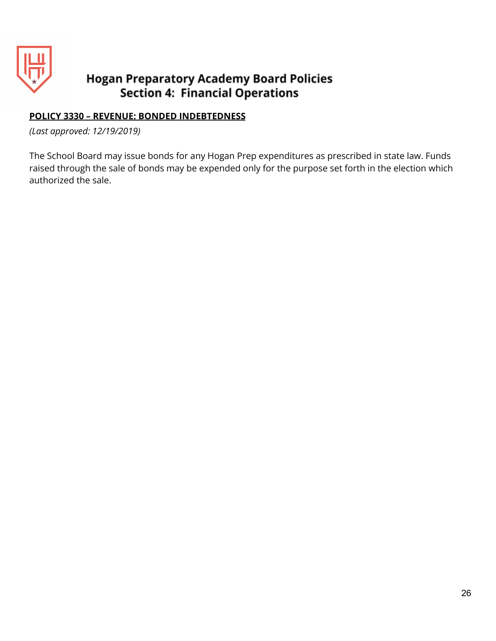

## **POLICY 3330 – REVENUE: BONDED INDEBTEDNESS**

*(Last approved: 12/19/2019)*

The School Board may issue bonds for any Hogan Prep expenditures as prescribed in state law. Funds raised through the sale of bonds may be expended only for the purpose set forth in the election which authorized the sale.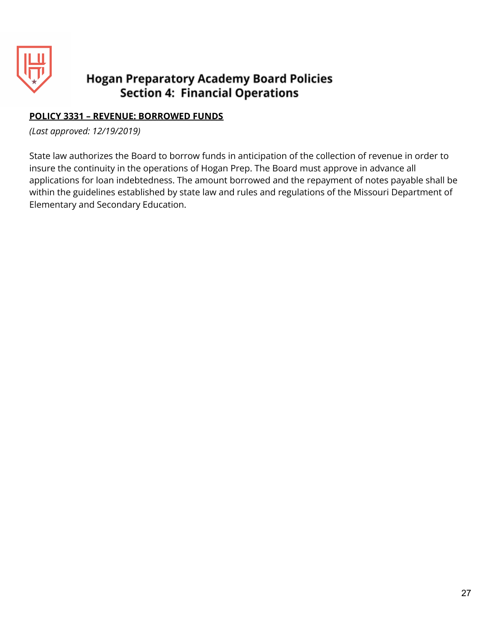

## **POLICY 3331 – REVENUE: BORROWED FUNDS**

*(Last approved: 12/19/2019)*

State law authorizes the Board to borrow funds in anticipation of the collection of revenue in order to insure the continuity in the operations of Hogan Prep. The Board must approve in advance all applications for loan indebtedness. The amount borrowed and the repayment of notes payable shall be within the guidelines established by state law and rules and regulations of the Missouri Department of Elementary and Secondary Education.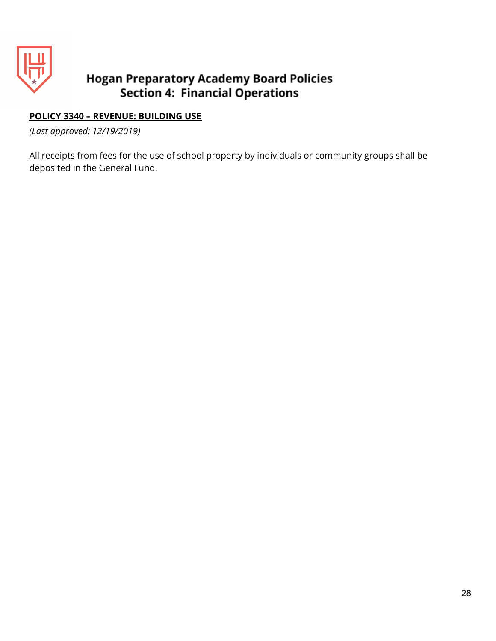

## **POLICY 3340 – REVENUE: BUILDING USE**

*(Last approved: 12/19/2019)*

All receipts from fees for the use of school property by individuals or community groups shall be deposited in the General Fund.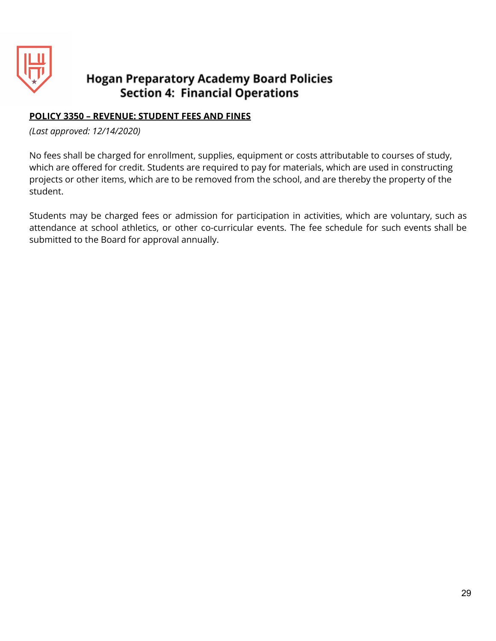

## **POLICY 3350 – REVENUE: STUDENT FEES AND FINES**

*(Last approved: 12/14/2020)*

No fees shall be charged for enrollment, supplies, equipment or costs attributable to courses of study, which are offered for credit. Students are required to pay for materials, which are used in constructing projects or other items, which are to be removed from the school, and are thereby the property of the student.

Students may be charged fees or admission for participation in activities, which are voluntary, such as attendance at school athletics, or other co-curricular events. The fee schedule for such events shall be submitted to the Board for approval annually.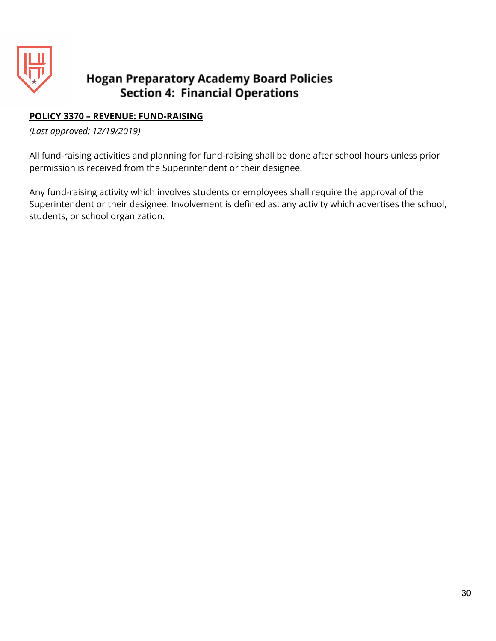

## **POLICY 3370 – REVENUE: FUND-RAISING**

*(Last approved: 12/19/2019)*

All fund-raising activities and planning for fund-raising shall be done after school hours unless prior permission is received from the Superintendent or their designee.

Any fund-raising activity which involves students or employees shall require the approval of the Superintendent or their designee. Involvement is defined as: any activity which advertises the school, students, or school organization.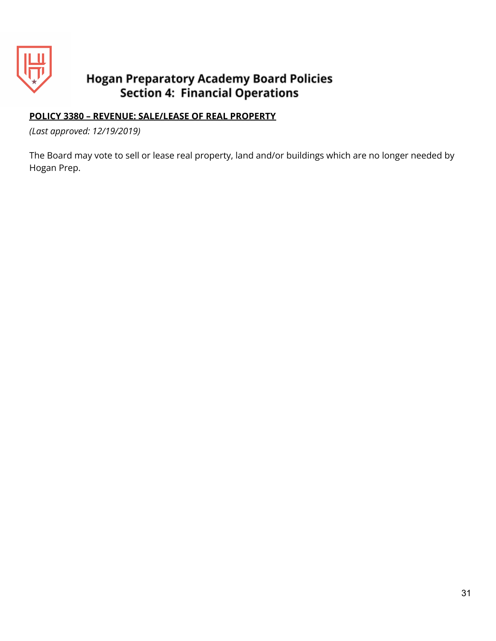

## **POLICY 3380 – REVENUE: SALE/LEASE OF REAL PROPERTY**

*(Last approved: 12/19/2019)*

The Board may vote to sell or lease real property, land and/or buildings which are no longer needed by Hogan Prep.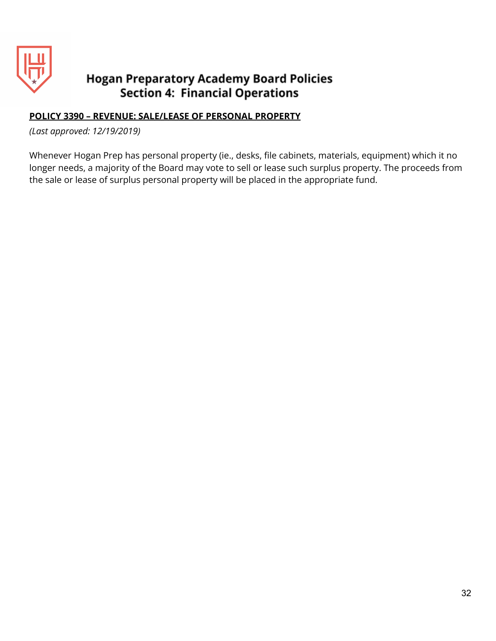

## **POLICY 3390 – REVENUE: SALE/LEASE OF PERSONAL PROPERTY**

*(Last approved: 12/19/2019)*

Whenever Hogan Prep has personal property (ie., desks, file cabinets, materials, equipment) which it no longer needs, a majority of the Board may vote to sell or lease such surplus property. The proceeds from the sale or lease of surplus personal property will be placed in the appropriate fund.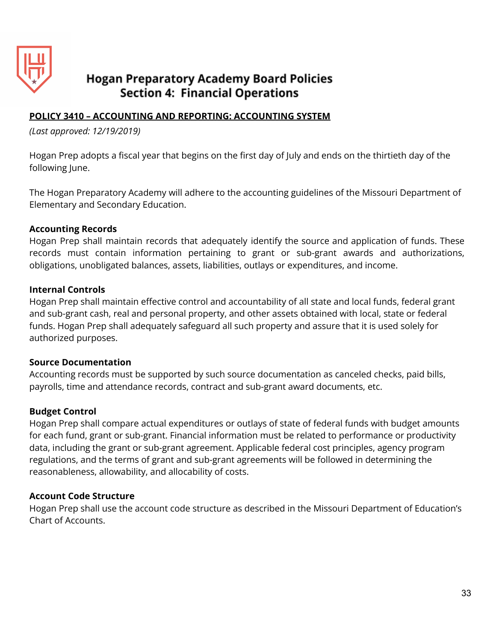

## **POLICY 3410 – ACCOUNTING AND REPORTING: ACCOUNTING SYSTEM**

*(Last approved: 12/19/2019)*

Hogan Prep adopts a fiscal year that begins on the first day of July and ends on the thirtieth day of the following June.

The Hogan Preparatory Academy will adhere to the accounting guidelines of the Missouri Department of Elementary and Secondary Education.

#### **Accounting Records**

Hogan Prep shall maintain records that adequately identify the source and application of funds. These records must contain information pertaining to grant or sub-grant awards and authorizations, obligations, unobligated balances, assets, liabilities, outlays or expenditures, and income.

#### **Internal Controls**

Hogan Prep shall maintain effective control and accountability of all state and local funds, federal grant and sub-grant cash, real and personal property, and other assets obtained with local, state or federal funds. Hogan Prep shall adequately safeguard all such property and assure that it is used solely for authorized purposes.

#### **Source Documentation**

Accounting records must be supported by such source documentation as canceled checks, paid bills, payrolls, time and attendance records, contract and sub-grant award documents, etc.

#### **Budget Control**

Hogan Prep shall compare actual expenditures or outlays of state of federal funds with budget amounts for each fund, grant or sub-grant. Financial information must be related to performance or productivity data, including the grant or sub-grant agreement. Applicable federal cost principles, agency program regulations, and the terms of grant and sub-grant agreements will be followed in determining the reasonableness, allowability, and allocability of costs.

## **Account Code Structure**

Hogan Prep shall use the account code structure as described in the Missouri Department of Education's Chart of Accounts.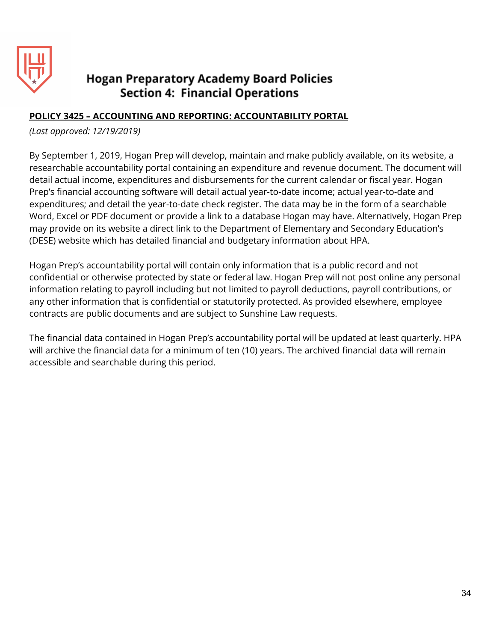

## **POLICY 3425 – ACCOUNTING AND REPORTING: ACCOUNTABILITY PORTAL**

*(Last approved: 12/19/2019)*

By September 1, 2019, Hogan Prep will develop, maintain and make publicly available, on its website, a researchable accountability portal containing an expenditure and revenue document. The document will detail actual income, expenditures and disbursements for the current calendar or fiscal year. Hogan Prep's financial accounting software will detail actual year-to-date income; actual year-to-date and expenditures; and detail the year-to-date check register. The data may be in the form of a searchable Word, Excel or PDF document or provide a link to a database Hogan may have. Alternatively, Hogan Prep may provide on its website a direct link to the Department of Elementary and Secondary Education's (DESE) website which has detailed financial and budgetary information about HPA.

Hogan Prep's accountability portal will contain only information that is a public record and not confidential or otherwise protected by state or federal law. Hogan Prep will not post online any personal information relating to payroll including but not limited to payroll deductions, payroll contributions, or any other information that is confidential or statutorily protected. As provided elsewhere, employee contracts are public documents and are subject to Sunshine Law requests.

The financial data contained in Hogan Prep's accountability portal will be updated at least quarterly. HPA will archive the financial data for a minimum of ten (10) years. The archived financial data will remain accessible and searchable during this period.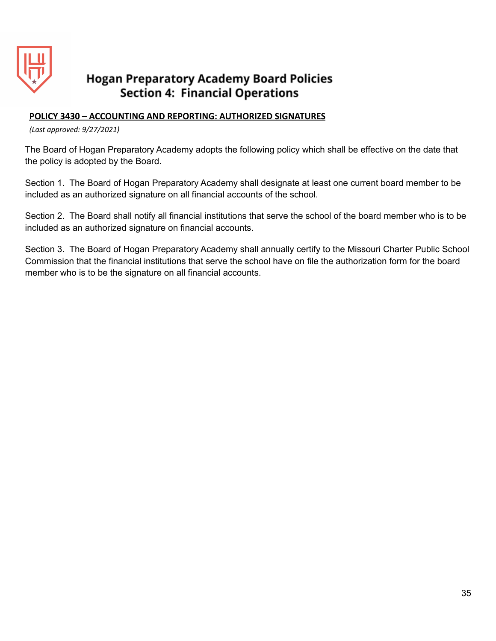

#### **POLICY 3430 – ACCOUNTING AND REPORTING: AUTHORIZED SIGNATURES**

*(Last approved: 9/27/2021)*

The Board of Hogan Preparatory Academy adopts the following policy which shall be effective on the date that the policy is adopted by the Board.

Section 1. The Board of Hogan Preparatory Academy shall designate at least one current board member to be included as an authorized signature on all financial accounts of the school.

Section 2. The Board shall notify all financial institutions that serve the school of the board member who is to be included as an authorized signature on financial accounts.

Section 3. The Board of Hogan Preparatory Academy shall annually certify to the Missouri Charter Public School Commission that the financial institutions that serve the school have on file the authorization form for the board member who is to be the signature on all financial accounts.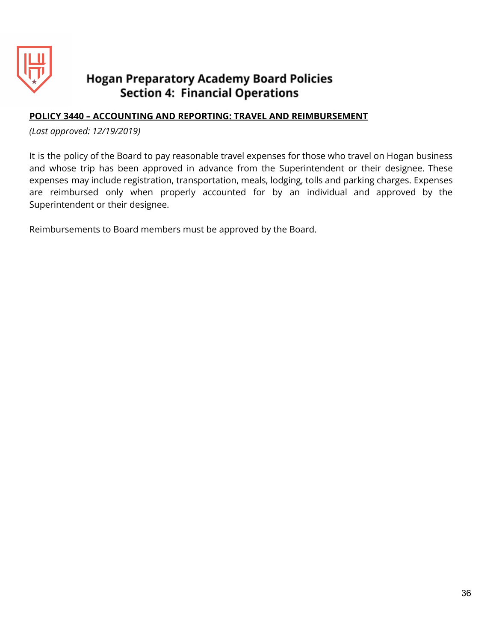

### **POLICY 3440 – ACCOUNTING AND REPORTING: TRAVEL AND REIMBURSEMENT**

*(Last approved: 12/19/2019)*

It is the policy of the Board to pay reasonable travel expenses for those who travel on Hogan business and whose trip has been approved in advance from the Superintendent or their designee. These expenses may include registration, transportation, meals, lodging, tolls and parking charges. Expenses are reimbursed only when properly accounted for by an individual and approved by the Superintendent or their designee.

Reimbursements to Board members must be approved by the Board.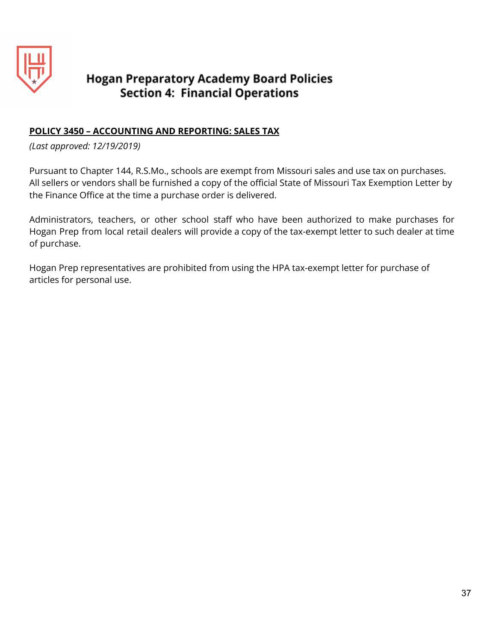

## **POLICY 3450 – ACCOUNTING AND REPORTING: SALES TAX**

*(Last approved: 12/19/2019)*

Pursuant to Chapter 144, R.S.Mo., schools are exempt from Missouri sales and use tax on purchases. All sellers or vendors shall be furnished a copy of the official State of Missouri Tax Exemption Letter by the Finance Office at the time a purchase order is delivered.

Administrators, teachers, or other school staff who have been authorized to make purchases for Hogan Prep from local retail dealers will provide a copy of the tax-exempt letter to such dealer at time of purchase.

Hogan Prep representatives are prohibited from using the HPA tax-exempt letter for purchase of articles for personal use.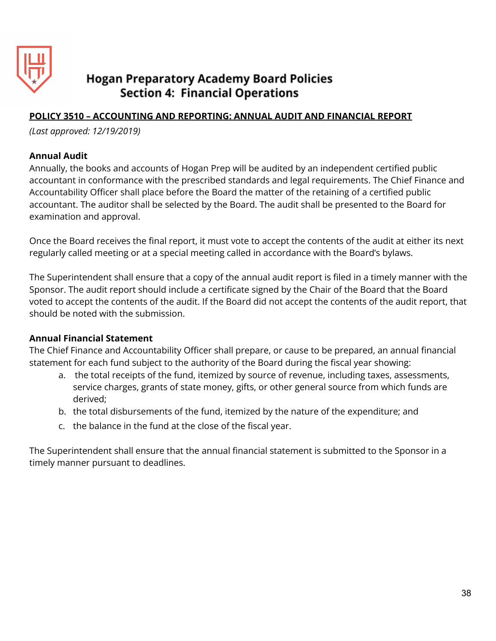

## **POLICY 3510 – ACCOUNTING AND REPORTING: ANNUAL AUDIT AND FINANCIAL REPORT**

*(Last approved: 12/19/2019)*

#### **Annual Audit**

Annually, the books and accounts of Hogan Prep will be audited by an independent certified public accountant in conformance with the prescribed standards and legal requirements. The Chief Finance and Accountability Officer shall place before the Board the matter of the retaining of a certified public accountant. The auditor shall be selected by the Board. The audit shall be presented to the Board for examination and approval.

Once the Board receives the final report, it must vote to accept the contents of the audit at either its next regularly called meeting or at a special meeting called in accordance with the Board's bylaws.

The Superintendent shall ensure that a copy of the annual audit report is filed in a timely manner with the Sponsor. The audit report should include a certificate signed by the Chair of the Board that the Board voted to accept the contents of the audit. If the Board did not accept the contents of the audit report, that should be noted with the submission.

#### **Annual Financial Statement**

The Chief Finance and Accountability Officer shall prepare, or cause to be prepared, an annual financial statement for each fund subject to the authority of the Board during the fiscal year showing:

- a. the total receipts of the fund, itemized by source of revenue, including taxes, assessments, service charges, grants of state money, gifts, or other general source from which funds are derived;
- b. the total disbursements of the fund, itemized by the nature of the expenditure; and
- c. the balance in the fund at the close of the fiscal year.

The Superintendent shall ensure that the annual financial statement is submitted to the Sponsor in a timely manner pursuant to deadlines.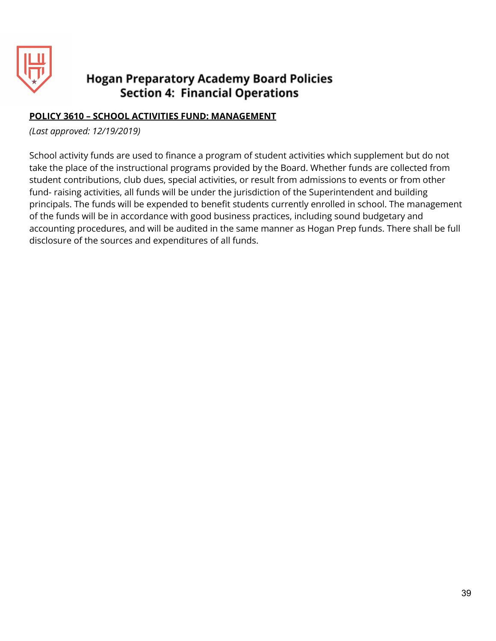

## **POLICY 3610 – SCHOOL ACTIVITIES FUND: MANAGEMENT**

*(Last approved: 12/19/2019)*

School activity funds are used to finance a program of student activities which supplement but do not take the place of the instructional programs provided by the Board. Whether funds are collected from student contributions, club dues, special activities, or result from admissions to events or from other fund- raising activities, all funds will be under the jurisdiction of the Superintendent and building principals. The funds will be expended to benefit students currently enrolled in school. The management of the funds will be in accordance with good business practices, including sound budgetary and accounting procedures, and will be audited in the same manner as Hogan Prep funds. There shall be full disclosure of the sources and expenditures of all funds.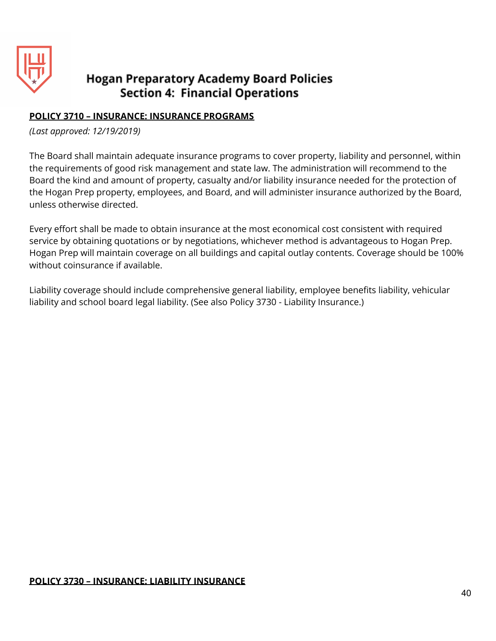

## **POLICY 3710 – INSURANCE: INSURANCE PROGRAMS**

*(Last approved: 12/19/2019)*

The Board shall maintain adequate insurance programs to cover property, liability and personnel, within the requirements of good risk management and state law. The administration will recommend to the Board the kind and amount of property, casualty and/or liability insurance needed for the protection of the Hogan Prep property, employees, and Board, and will administer insurance authorized by the Board, unless otherwise directed.

Every effort shall be made to obtain insurance at the most economical cost consistent with required service by obtaining quotations or by negotiations, whichever method is advantageous to Hogan Prep. Hogan Prep will maintain coverage on all buildings and capital outlay contents. Coverage should be 100% without coinsurance if available.

Liability coverage should include comprehensive general liability, employee benefits liability, vehicular liability and school board legal liability. (See also Policy 3730 - Liability Insurance.)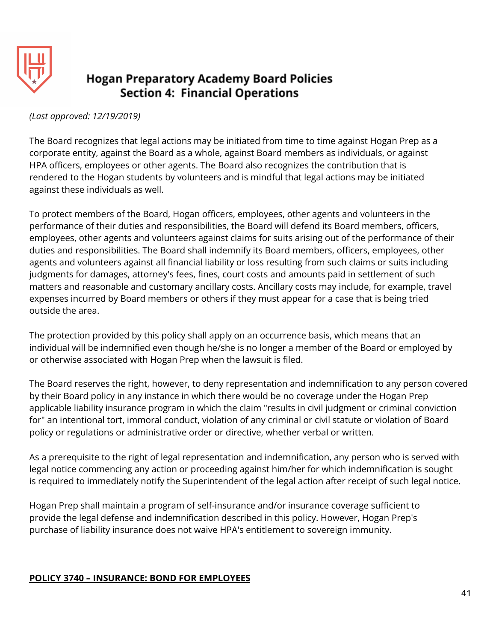

### *(Last approved: 12/19/2019)*

The Board recognizes that legal actions may be initiated from time to time against Hogan Prep as a corporate entity, against the Board as a whole, against Board members as individuals, or against HPA officers, employees or other agents. The Board also recognizes the contribution that is rendered to the Hogan students by volunteers and is mindful that legal actions may be initiated against these individuals as well.

To protect members of the Board, Hogan officers, employees, other agents and volunteers in the performance of their duties and responsibilities, the Board will defend its Board members, officers, employees, other agents and volunteers against claims for suits arising out of the performance of their duties and responsibilities. The Board shall indemnify its Board members, officers, employees, other agents and volunteers against all financial liability or loss resulting from such claims or suits including judgments for damages, attorney's fees, fines, court costs and amounts paid in settlement of such matters and reasonable and customary ancillary costs. Ancillary costs may include, for example, travel expenses incurred by Board members or others if they must appear for a case that is being tried outside the area.

The protection provided by this policy shall apply on an occurrence basis, which means that an individual will be indemnified even though he/she is no longer a member of the Board or employed by or otherwise associated with Hogan Prep when the lawsuit is filed.

The Board reserves the right, however, to deny representation and indemnification to any person covered by their Board policy in any instance in which there would be no coverage under the Hogan Prep applicable liability insurance program in which the claim "results in civil judgment or criminal conviction for" an intentional tort, immoral conduct, violation of any criminal or civil statute or violation of Board policy or regulations or administrative order or directive, whether verbal or written.

As a prerequisite to the right of legal representation and indemnification, any person who is served with legal notice commencing any action or proceeding against him/her for which indemnification is sought is required to immediately notify the Superintendent of the legal action after receipt of such legal notice.

Hogan Prep shall maintain a program of self-insurance and/or insurance coverage sufficient to provide the legal defense and indemnification described in this policy. However, Hogan Prep's purchase of liability insurance does not waive HPA's entitlement to sovereign immunity.

## **POLICY 3740 – INSURANCE: BOND FOR EMPLOYEES**